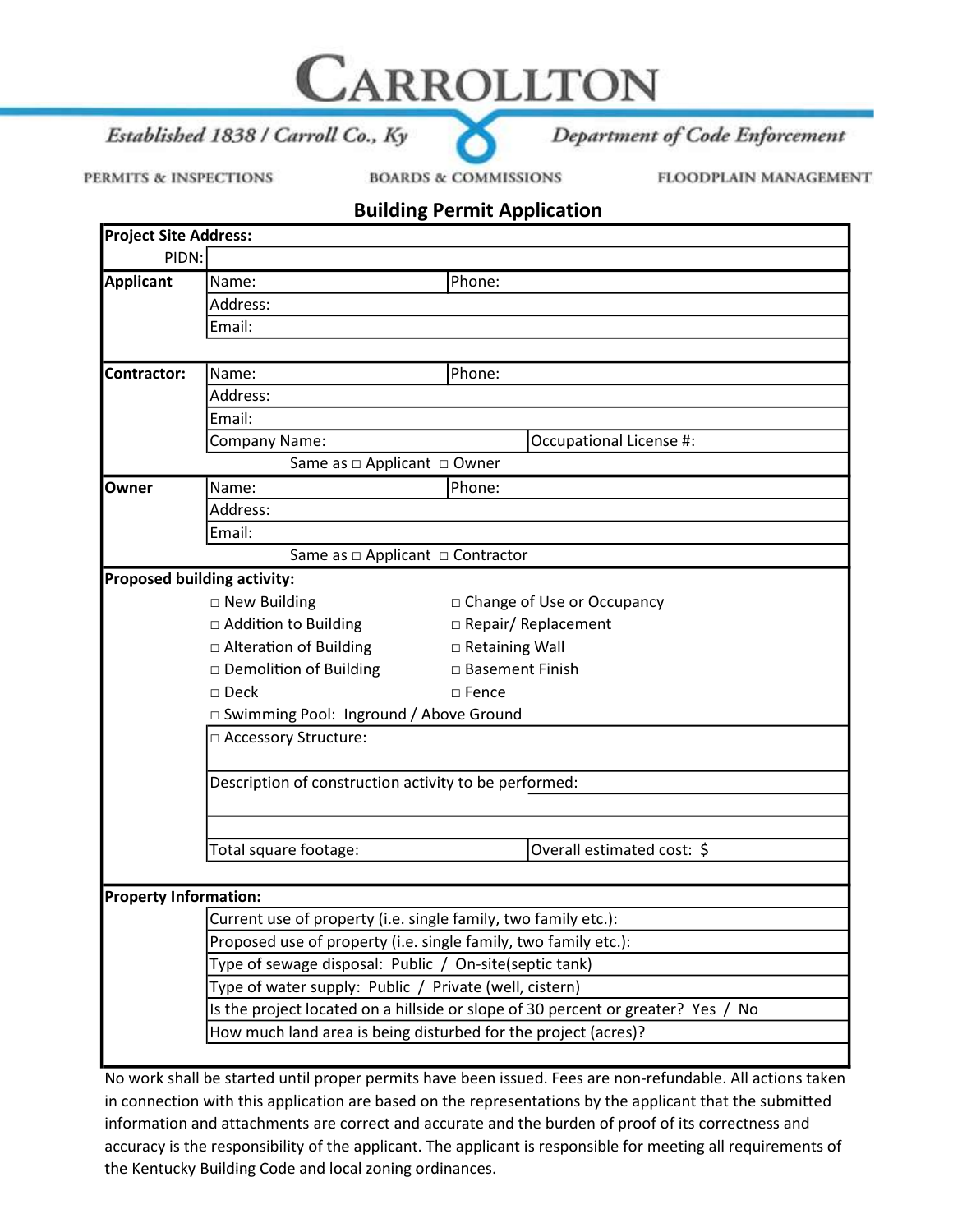Established 1838 / Carroll Co., Ky

PERMITS & INSPECTIONS

**BOARDS & COMMISSIONS** 

CARROLLTON

FLOODPLAIN MANAGEMENT

Department of Code Enforcement

## Building Permit Application

| <b>Project Site Address:</b> |                                                                                  |                                                                 |  |
|------------------------------|----------------------------------------------------------------------------------|-----------------------------------------------------------------|--|
| PIDN:                        |                                                                                  |                                                                 |  |
| <b>Applicant</b>             | Name:                                                                            | Phone:                                                          |  |
|                              | Address:                                                                         |                                                                 |  |
|                              | Email:                                                                           |                                                                 |  |
|                              |                                                                                  |                                                                 |  |
| <b>Contractor:</b>           | Name:                                                                            | Phone:                                                          |  |
|                              | Address:                                                                         |                                                                 |  |
|                              | Email:                                                                           |                                                                 |  |
|                              | Company Name:                                                                    | Occupational License #:                                         |  |
|                              | Same as □ Applicant □ Owner                                                      |                                                                 |  |
| Owner                        | Name:                                                                            | Phone:                                                          |  |
|                              | Address:                                                                         |                                                                 |  |
|                              | Email:                                                                           |                                                                 |  |
|                              | Same as $\Box$ Applicant $\Box$ Contractor                                       |                                                                 |  |
|                              | <b>Proposed building activity:</b>                                               |                                                                 |  |
|                              | $\square$ New Building                                                           | □ Change of Use or Occupancy                                    |  |
|                              | □ Addition to Building                                                           | □ Repair/ Replacement                                           |  |
|                              | □ Alteration of Building                                                         | □ Retaining Wall                                                |  |
|                              | □ Demolition of Building                                                         | □ Basement Finish                                               |  |
|                              | $\square$ Deck                                                                   | $\Box$ Fence                                                    |  |
|                              | □ Swimming Pool: Inground / Above Ground                                         |                                                                 |  |
|                              | □ Accessory Structure:                                                           |                                                                 |  |
|                              | Description of construction activity to be performed:                            |                                                                 |  |
|                              | Total square footage:                                                            | Overall estimated cost: \$                                      |  |
|                              |                                                                                  |                                                                 |  |
| <b>Property Information:</b> |                                                                                  |                                                                 |  |
|                              | Current use of property (i.e. single family, two family etc.):                   |                                                                 |  |
|                              |                                                                                  | Proposed use of property (i.e. single family, two family etc.): |  |
|                              | Type of sewage disposal: Public / On-site(septic tank)                           |                                                                 |  |
|                              | Type of water supply: Public / Private (well, cistern)                           |                                                                 |  |
|                              | Is the project located on a hillside or slope of 30 percent or greater? Yes / No |                                                                 |  |
|                              |                                                                                  | How much land area is being disturbed for the project (acres)?  |  |

No work shall be started until proper permits have been issued. Fees are non-refundable. All actions taken in connection with this application are based on the representations by the applicant that the submitted information and attachments are correct and accurate and the burden of proof of its correctness and accuracy is the responsibility of the applicant. The applicant is responsible for meeting all requirements of the Kentucky Building Code and local zoning ordinances.